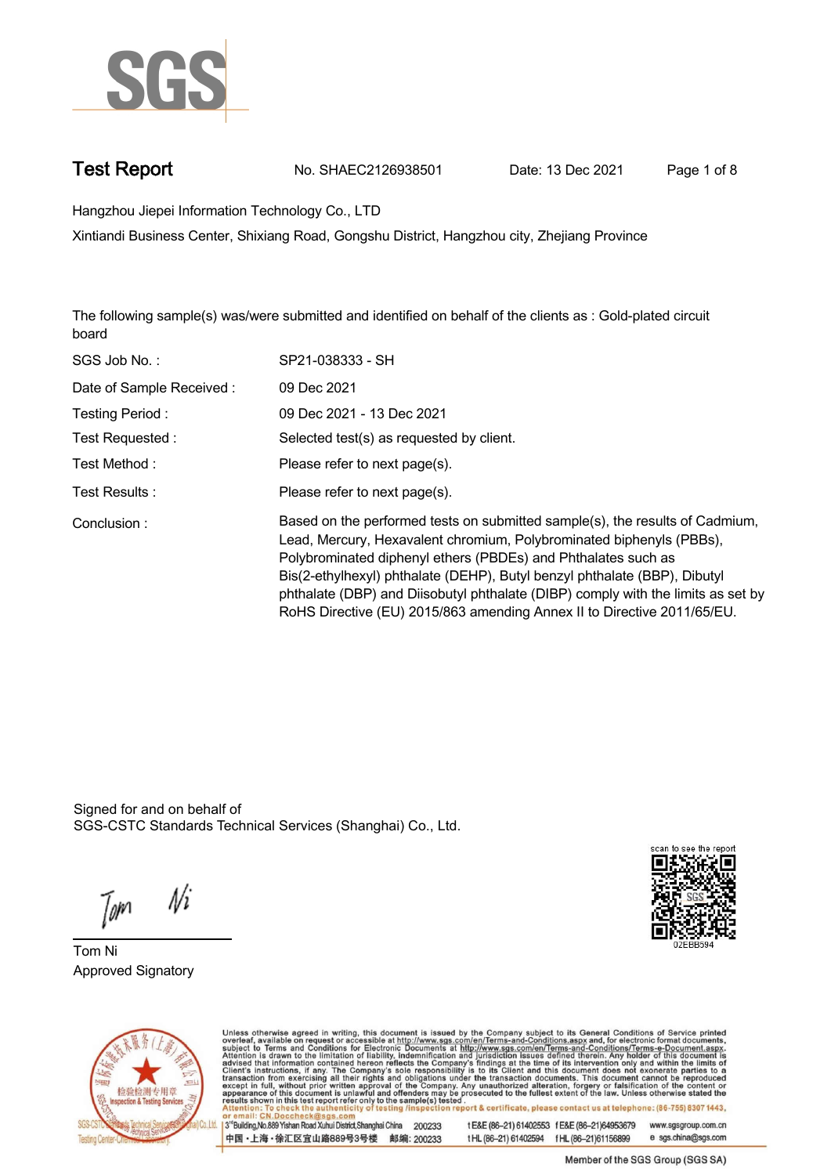

**Test Report. No. SHAEC2126938501 Date: 13 Dec 2021. Page 1 of 8.**

**Hangzhou Jiepei Information Technology Co., LTD .**

**Xintiandi Business Center, Shixiang Road, Gongshu District, Hangzhou city, Zhejiang Province**

**The following sample(s) was/were submitted and identified on behalf of the clients as : Gold-plated circuit board.**

| SGS Job No.:             | SP21-038333 - SH                                                                                                                                                                                                                                                                                                                                                                                                                                                  |
|--------------------------|-------------------------------------------------------------------------------------------------------------------------------------------------------------------------------------------------------------------------------------------------------------------------------------------------------------------------------------------------------------------------------------------------------------------------------------------------------------------|
| Date of Sample Received: | 09 Dec 2021                                                                                                                                                                                                                                                                                                                                                                                                                                                       |
| Testing Period:          | 09 Dec 2021 - 13 Dec 2021                                                                                                                                                                                                                                                                                                                                                                                                                                         |
| Test Requested :         | Selected test(s) as requested by client.                                                                                                                                                                                                                                                                                                                                                                                                                          |
| Test Method:             | Please refer to next page(s).                                                                                                                                                                                                                                                                                                                                                                                                                                     |
| Test Results:            | Please refer to next page(s).                                                                                                                                                                                                                                                                                                                                                                                                                                     |
| Conclusion:              | Based on the performed tests on submitted sample(s), the results of Cadmium,<br>Lead, Mercury, Hexavalent chromium, Polybrominated biphenyls (PBBs),<br>Polybrominated diphenyl ethers (PBDEs) and Phthalates such as<br>Bis(2-ethylhexyl) phthalate (DEHP), Butyl benzyl phthalate (BBP), Dibutyl<br>phthalate (DBP) and Diisobutyl phthalate (DIBP) comply with the limits as set by<br>RoHS Directive (EU) 2015/863 amending Annex II to Directive 2011/65/EU. |

Signed for and on behalf of SGS-CSTC Standards Technical Services (Shanghai) Co., Ltd..

 $N<sub>i</sub>$ Tom

**Tom Ni. Approved Signatory .**





Unless otherwise agreed in writing, this document is issued by the Company subject to its General Conditions of Service printed overleaf, available on request or accessible at http://www.sgs.com/en/Terms-and-Conditions.asp

3<sup>rd</sup> Building, No.889 Yishan Road Xuhui District, Shanghai China 200233 中国·上海·徐汇区宜山路889号3号楼 邮编: 200233 t E&E (86-21) 61402553 f E&E (86-21)64953679 www.sgsgroup.com.cn tHL (86-21) 61402594 fHL (86-21) 61156899 e sgs.china@sgs.com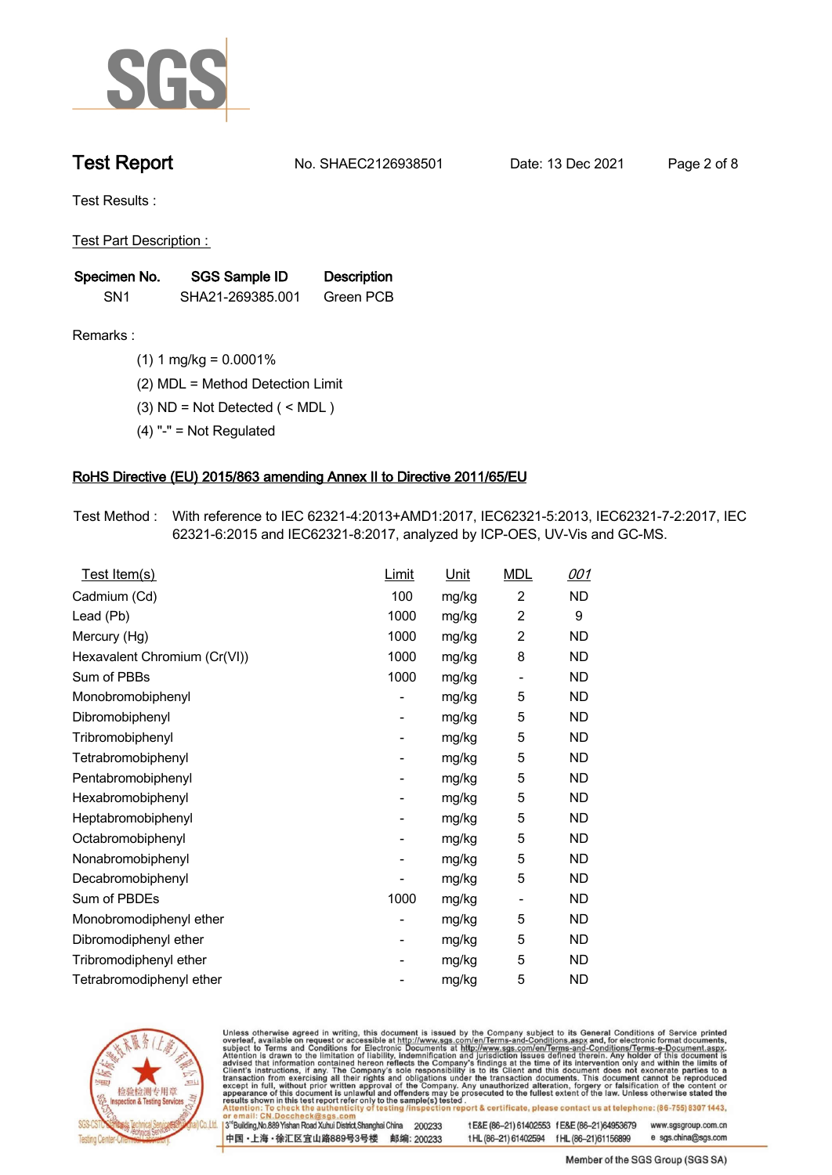

**Test Report. No. SHAEC2126938501 Date: 13 Dec 2021. Page 2 of 8.**

**Test Results :.**

**Test Part Description : .**

| Specimen No.    | SGS Sample ID    | <b>Description</b> |  |
|-----------------|------------------|--------------------|--|
| SN <sub>1</sub> | SHA21-269385.001 | Green PCB          |  |

- **Remarks :.(1) 1 mg/kg = 0.0001% .**
	- **(2) MDL = Method Detection Limit .**
	- **(3) ND = Not Detected ( < MDL ) .**
	- **(4) "-" = Not Regulated .**

### **RoHS Directive (EU) 2015/863 amending Annex II to Directive 2011/65/EU.**

**Test Method :. With reference to IEC 62321-4:2013+AMD1:2017, IEC62321-5:2013, IEC62321-7-2:2017, IEC 62321-6:2015 and IEC62321-8:2017, analyzed by ICP-OES, UV-Vis and GC-MS. .**

| Test Item(s)                 | Limit          | <u>Unit</u> | <b>MDL</b>                   | 001       |
|------------------------------|----------------|-------------|------------------------------|-----------|
| Cadmium (Cd)                 | 100            | mg/kg       | $\overline{2}$               | ND        |
| Lead (Pb)                    | 1000           | mg/kg       | $\overline{2}$               | 9         |
| Mercury (Hg)                 | 1000           | mg/kg       | $\overline{2}$               | <b>ND</b> |
| Hexavalent Chromium (Cr(VI)) | 1000           | mg/kg       | 8                            | <b>ND</b> |
| Sum of PBBs                  | 1000           | mg/kg       | $\qquad \qquad \blacksquare$ | ND        |
| Monobromobiphenyl            |                | mg/kg       | 5                            | ND        |
| Dibromobiphenyl              | -              | mg/kg       | 5                            | ND        |
| Tribromobiphenyl             |                | mg/kg       | 5                            | ND.       |
| Tetrabromobiphenyl           | -              | mg/kg       | 5                            | ND        |
| Pentabromobiphenyl           | -              | mg/kg       | 5                            | <b>ND</b> |
| Hexabromobiphenyl            | -              | mg/kg       | 5                            | ND        |
| Heptabromobiphenyl           |                | mg/kg       | 5                            | <b>ND</b> |
| Octabromobiphenyl            | $\overline{a}$ | mg/kg       | 5                            | ND        |
| Nonabromobiphenyl            |                | mg/kg       | 5                            | <b>ND</b> |
| Decabromobiphenyl            |                | mg/kg       | 5                            | ND        |
| Sum of PBDEs                 | 1000           | mg/kg       | $\overline{\phantom{a}}$     | ND.       |
| Monobromodiphenyl ether      | -              | mg/kg       | 5                            | ND        |
| Dibromodiphenyl ether        | -              | mg/kg       | 5                            | ND        |
| Tribromodiphenyl ether       | -              | mg/kg       | 5                            | <b>ND</b> |
| Tetrabromodiphenyl ether     |                | mg/kg       | 5                            | <b>ND</b> |



Unless otherwise agreed in writing, this document is issued by the Company subject to its General Conditions of Service printed overleaf, available on request or accessible at http://www.sgs.com/en/Terms-and-Conditions.asp

3<sup>rd</sup> Building, No.889 Yishan Road Xuhui District, Shanghai China 200233 中国·上海·徐汇区宜山路889号3号楼 邮编: 200233 tE&E (86-21) 61402553 fE&E (86-21)64953679 www.sgsgroup.com.cn

t HL (86-21) 61402594 f HL (86-21) 61156899 e sgs.china@sgs.com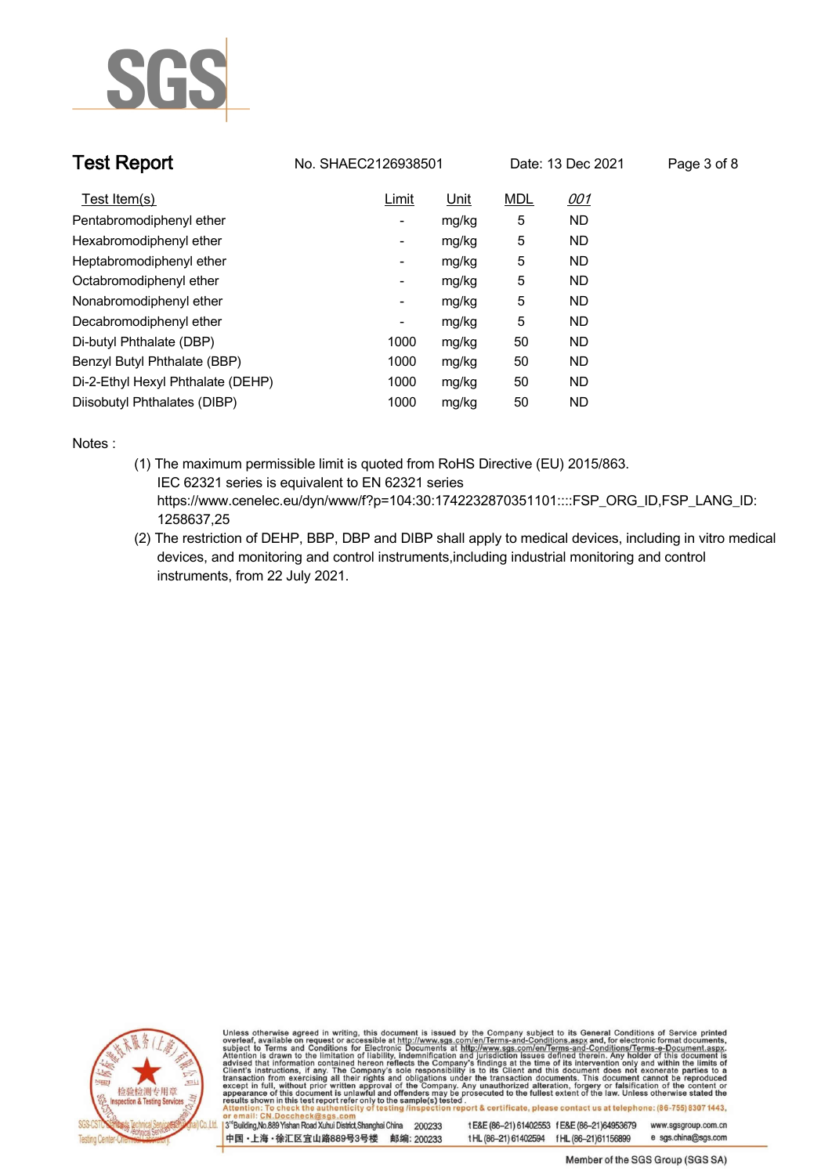

| <b>Test Report</b>                | No. SHAEC2126938501      |       |            | Date: 13 Dec 2021 | Page 3 of 8 |
|-----------------------------------|--------------------------|-------|------------|-------------------|-------------|
| Test Item(s)                      | Limit                    | Unit  | <b>MDL</b> | <u>001</u>        |             |
| Pentabromodiphenyl ether          | $\overline{\phantom{a}}$ | mg/kg | 5          | ND.               |             |
| Hexabromodiphenyl ether           | $\overline{\phantom{a}}$ | mg/kg | 5          | <b>ND</b>         |             |
| Heptabromodiphenyl ether          | -                        | mg/kg | 5          | ND.               |             |
| Octabromodiphenyl ether           | -                        | mg/kg | 5          | ND.               |             |
| Nonabromodiphenyl ether           | $\overline{\phantom{a}}$ | mg/kg | 5          | ND.               |             |
| Decabromodiphenyl ether           | -                        | mg/kg | 5          | <b>ND</b>         |             |
| Di-butyl Phthalate (DBP)          | 1000                     | mg/kg | 50         | <b>ND</b>         |             |
| Benzyl Butyl Phthalate (BBP)      | 1000                     | mg/kg | 50         | <b>ND</b>         |             |
| Di-2-Ethyl Hexyl Phthalate (DEHP) | 1000                     | mg/kg | 50         | <b>ND</b>         |             |
| Diisobutyl Phthalates (DIBP)      | 1000                     | mg/kg | 50         | <b>ND</b>         |             |

**Notes :.**

- **(1) The maximum permissible limit is quoted from RoHS Directive (EU) 2015/863. IEC 62321 series is equivalent to EN 62321 series https://www.cenelec.eu/dyn/www/f?p=104:30:1742232870351101::::FSP\_ORG\_ID,FSP\_LANG\_ID: 1258637,25**
- **(2) The restriction of DEHP, BBP, DBP and DIBP shall apply to medical devices, including in vitro medical devices, and monitoring and control instruments,including industrial monitoring and control instruments, from 22 July 2021. .**



Unless otherwise agreed in writing, this document is issued by the Company subject to its General Conditions of Service printed overleaf, available on request or accessible at http://www.sgs.com/en/Terms-and-Conditions.asp

3<sup>rd</sup>Building, No.889 Yishan Road Xuhui District, Shanghai China 200233 中国·上海·徐汇区宜山路889号3号楼 邮编: 200233 t E&E (86-21) 61402553 f E&E (86-21)64953679

www.sgsgroup.com.cn e sgs.china@sgs.com t HL (86-21) 61402594 f HL (86-21) 61156899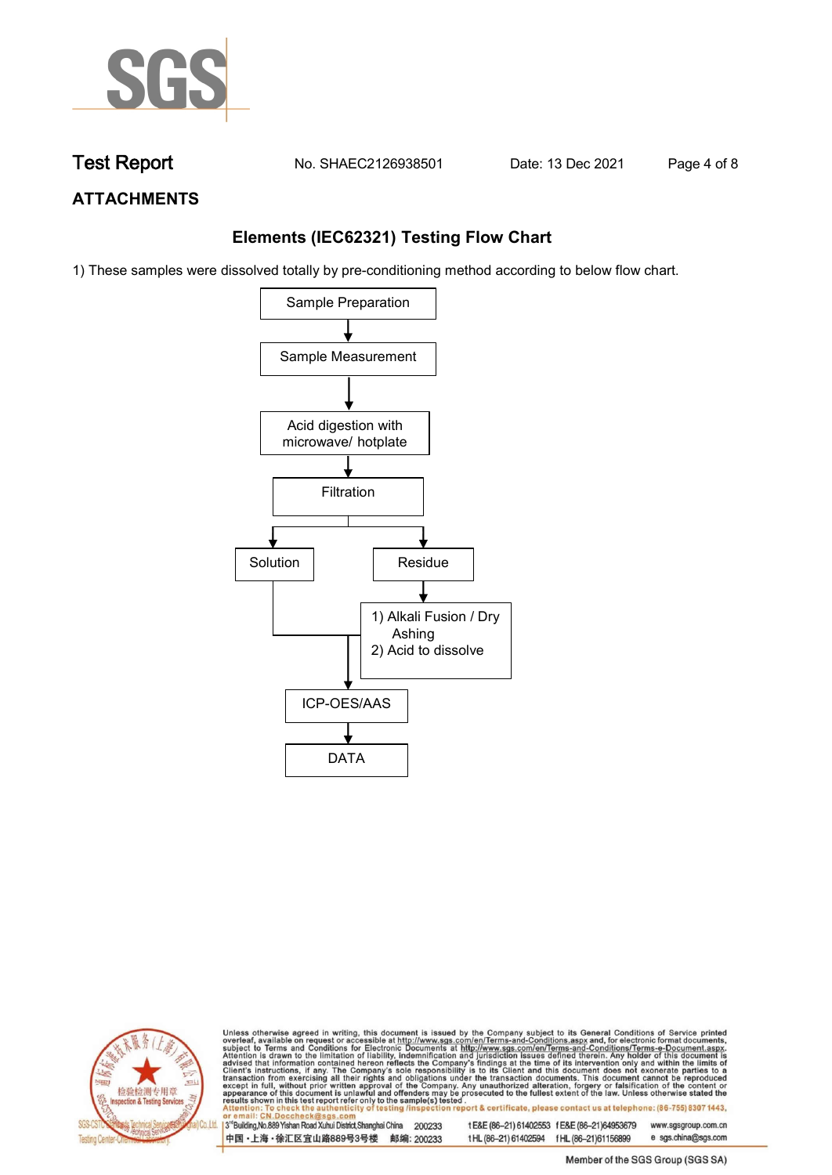

**Test Report. No. SHAEC2126938501 Date: 13 Dec 2021. Page 4 of 8.**

## **ATTACHMENTS**

## **Elements (IEC62321) Testing Flow Chart**

1) These samples were dissolved totally by pre-conditioning method according to below flow chart.





Unless otherwise agreed in writing, this document is issued by the Company subject to its General Conditions of Service printed overleaf, available on request or accessible at http://www.sgs.com/en/Terms-and-Conditions.asp

3<sup>rd</sup> Building, No.889 Yishan Road Xuhui District, Shanghai China 200233 中国·上海·徐汇区宜山路889号3号楼 邮编: 200233 tE&E (86-21) 61402553 fE&E (86-21)64953679 www.sgsgroup.com.cn e sgs.china@sgs.com t HL (86-21) 61402594 f HL (86-21) 61156899

Member of the SGS Group (SGS SA)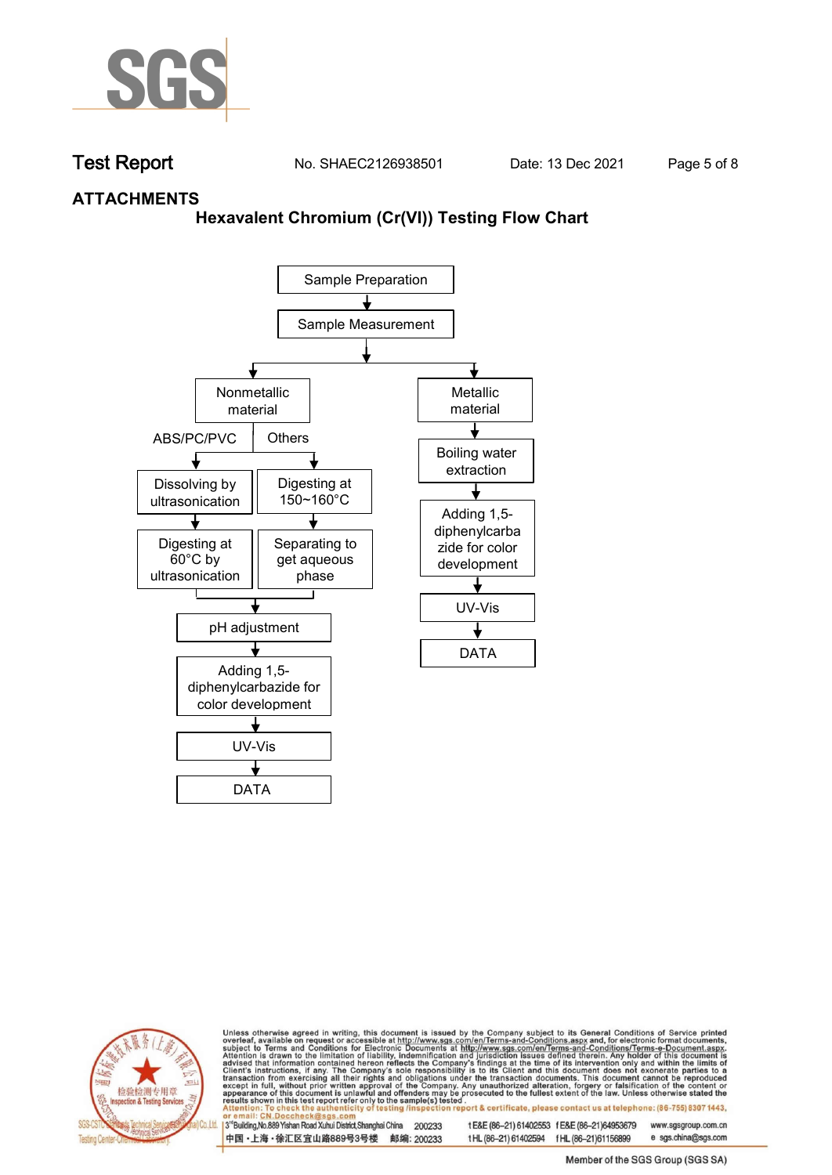

**Test Report. No. SHAEC2126938501 Date: 13 Dec 2021. Page 5 of 8.**

## **ATTACHMENTS**

### **Hexavalent Chromium (Cr(VI)) Testing Flow Chart**





Unless otherwise agreed in writing, this document is issued by the Company subject to its General Conditions of Service printed overleaf, available on request or accessible at http://www.sgs.com/en/Terms-and-Conditions.asp

3<sup>rd</sup> Building, No.889 Yishan Road Xuhui District, Shanghai China 200233 中国·上海·徐汇区宜山路889号3号楼 邮编: 200233 tE&E (86-21) 61402553 fE&E (86-21)64953679 www.sgsgroup.com.cn t HL (86-21) 61402594 f HL (86-21) 61156899 e sgs.china@sgs.com

Member of the SGS Group (SGS SA)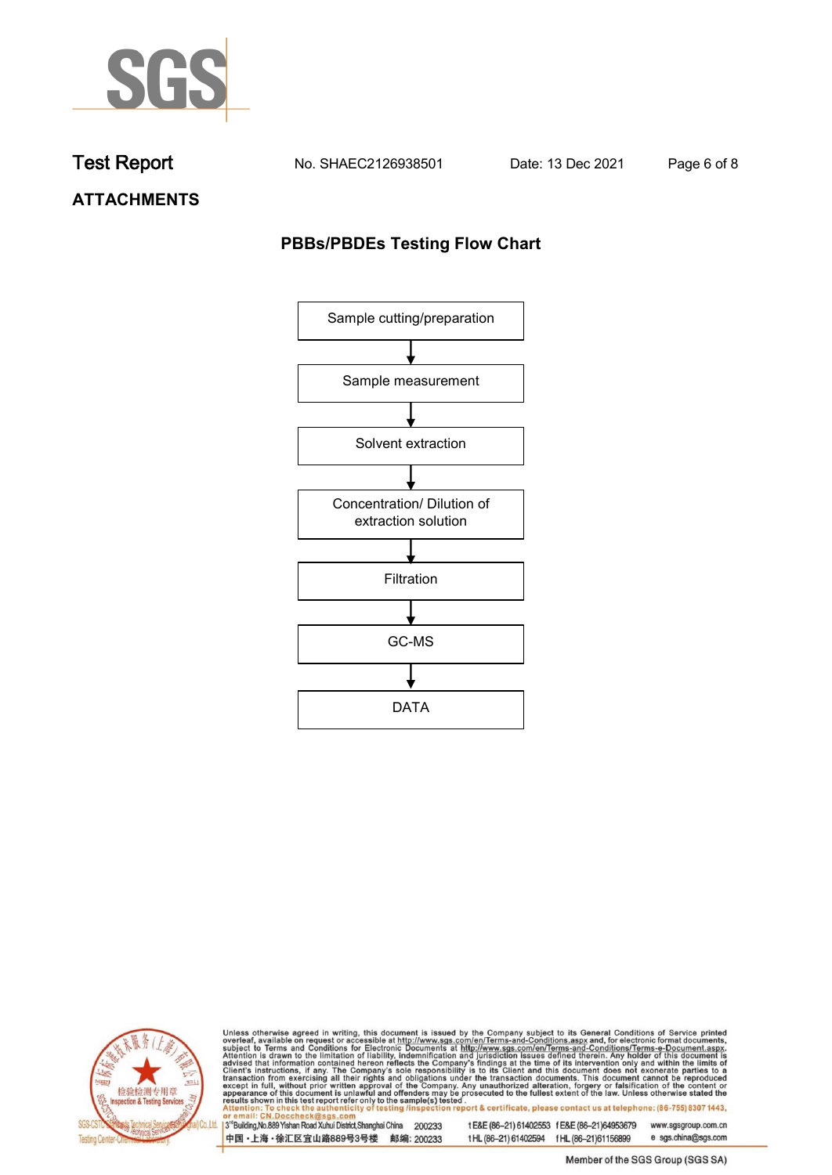

**Test Report. No. SHAEC2126938501 Date: 13 Dec 2021. Page 6 of 8.**

**ATTACHMENTS**

## **PBBs/PBDEs Testing Flow Chart**





Unless otherwise agreed in writing, this document is issued by the Company subject to its General Conditions of Service printed overleaf, available on request or accessible at http://www.sgs.com/en/Terms-and-Conditions.asp

3<sup>'</sup>Building, No.889 Yishan Road Xuhui District, Shanghai China 200233 中国·上海·徐汇区宜山路889号3号楼 邮编: 200233

tE&E (86-21) 61402553 fE&E (86-21)64953679 www.sgsgroup.com.cn

e sgs.china@sgs.com t HL (86-21) 61402594 f HL (86-21) 61156899 Member of the SGS Group (SGS SA)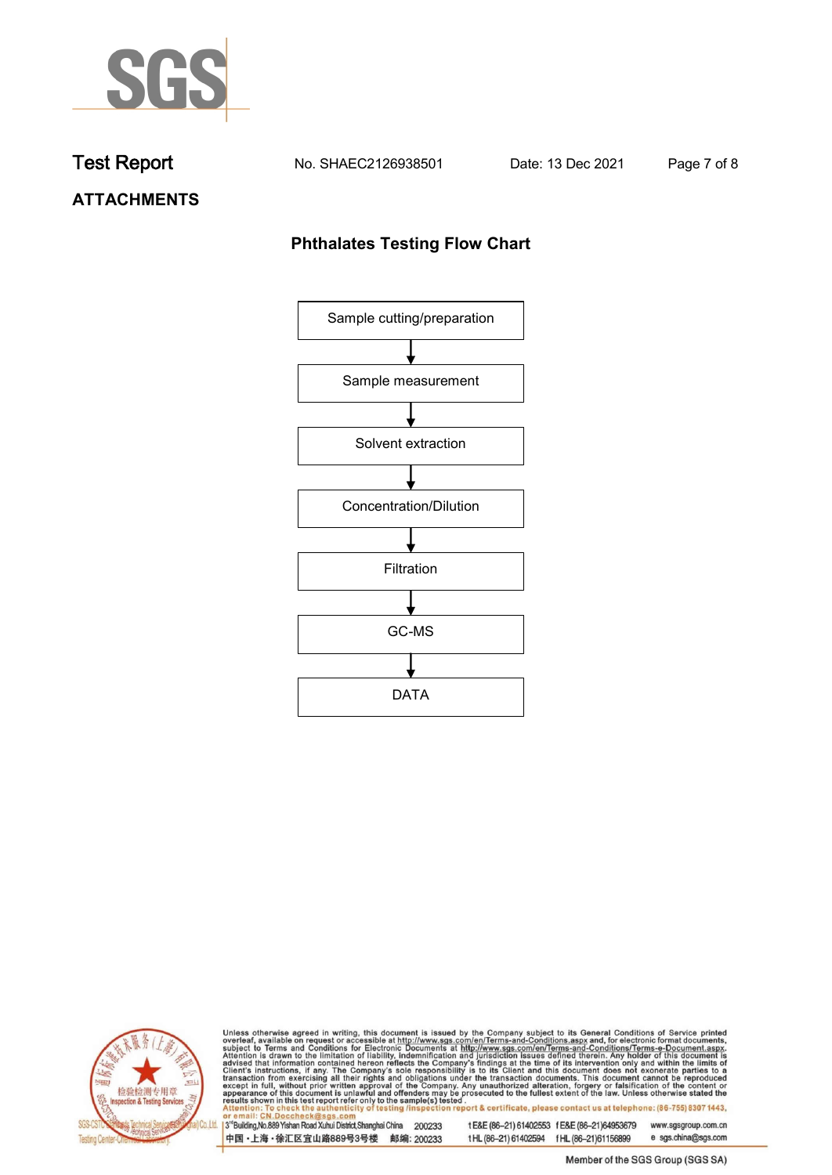

**Test Report. No. SHAEC2126938501 Date: 13 Dec 2021. Page 7 of 8.**

# **ATTACHMENTS**

## **Phthalates Testing Flow Chart**





Unless otherwise agreed in writing, this document is issued by the Company subject to its General Conditions of Service printed overleaf, available on request or accessible at http://www.sgs.com/en/Terms-and-Conditions.asp

3<sup>'</sup>Building, No.889 Yishan Road Xuhui District, Shanghai China 200233 中国·上海·徐汇区宜山路889号3号楼 邮编: 200233

tE&E (86-21) 61402553 fE&E (86-21)64953679 www.sgsgroup.com.cn

e sgs.china@sgs.com t HL (86-21) 61402594 f HL (86-21) 61156899